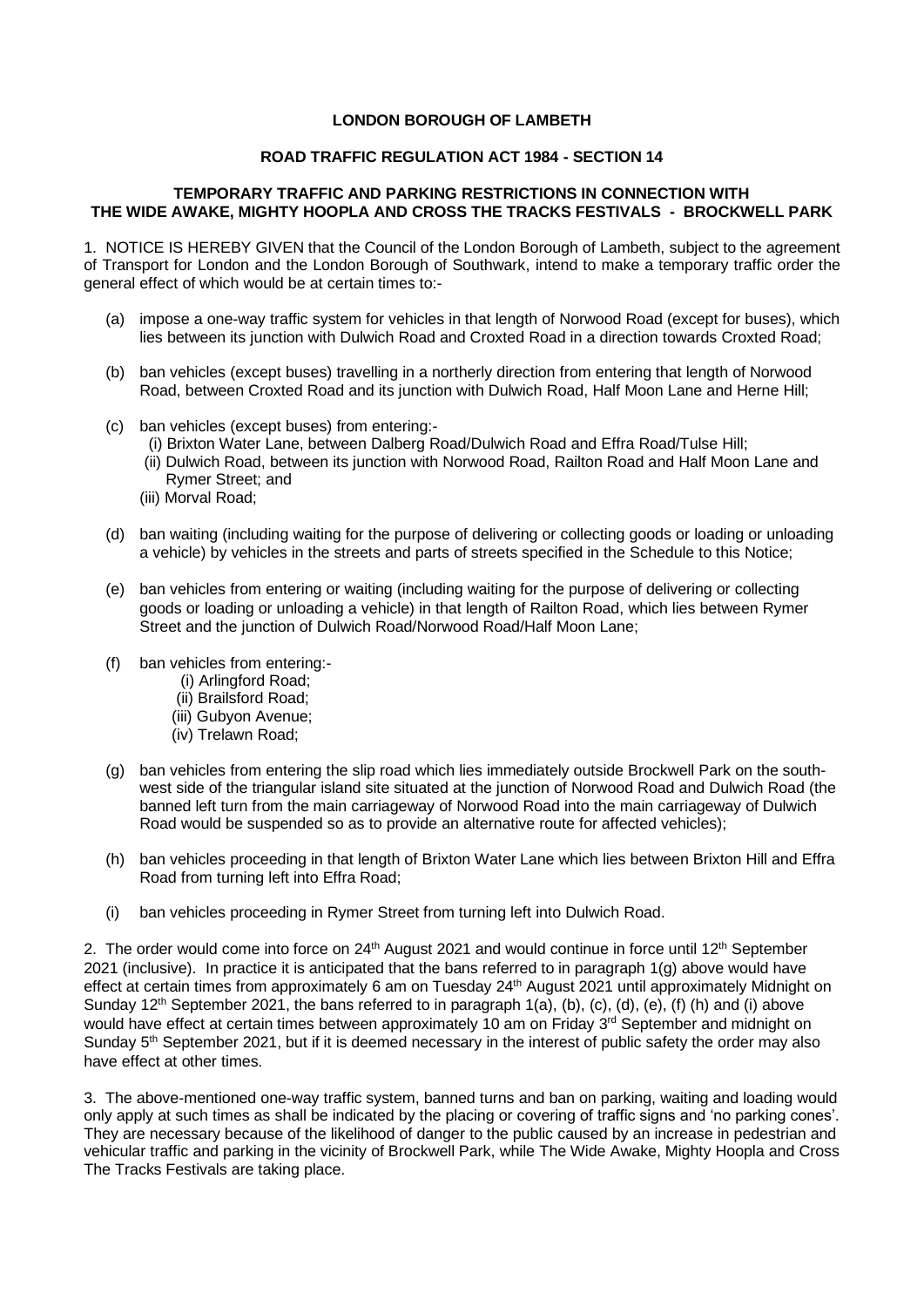## **LONDON BOROUGH OF LAMBETH**

## **ROAD TRAFFIC REGULATION ACT 1984 - SECTION 14**

## **TEMPORARY TRAFFIC AND PARKING RESTRICTIONS IN CONNECTION WITH THE WIDE AWAKE, MIGHTY HOOPLA AND CROSS THE TRACKS FESTIVALS - BROCKWELL PARK**

 1. NOTICE IS HEREBY GIVEN that the Council of the London Borough of Lambeth, subject to the agreement of Transport for London and the London Borough of Southwark, intend to make a temporary traffic order the general effect of which would be at certain times to:-

- (a) impose a one-way traffic system for vehicles in that length of Norwood Road (except for buses), which lies between its junction with Dulwich Road and Croxted Road in a direction towards Croxted Road;
- (b) ban vehicles (except buses) travelling in a northerly direction from entering that length of Norwood Road, between Croxted Road and its junction with Dulwich Road, Half Moon Lane and Herne Hill;
- (c) ban vehicles (except buses) from entering:-
	- (i) Brixton Water Lane, between Dalberg Road/Dulwich Road and Effra Road/Tulse Hill;
	- (ii) Dulwich Road, between its junction with Norwood Road, Railton Road and Half Moon Lane and Rymer Street; and
	- (iii) Morval Road;
- (d) ban waiting (including waiting for the purpose of delivering or collecting goods or loading or unloading a vehicle) by vehicles in the streets and parts of streets specified in the Schedule to this Notice;
- (e) ban vehicles from entering or waiting (including waiting for the purpose of delivering or collecting goods or loading or unloading a vehicle) in that length of Railton Road, which lies between Rymer Street and the junction of Dulwich Road/Norwood Road/Half Moon Lane;
- (f) ban vehicles from entering:-
	- (i) Arlingford Road;
	- (ii) Brailsford Road;
	- (iii) Gubyon Avenue;
	- (iv) Trelawn Road;
- (g) ban vehicles from entering the slip road which lies immediately outside Brockwell Park on the south- west side of the triangular island site situated at the junction of Norwood Road and Dulwich Road (the banned left turn from the main carriageway of Norwood Road into the main carriageway of Dulwich Road would be suspended so as to provide an alternative route for affected vehicles);
- (h) ban vehicles proceeding in that length of Brixton Water Lane which lies between Brixton Hill and Effra Road from turning left into Effra Road;
- (i) ban vehicles proceeding in Rymer Street from turning left into Dulwich Road.

2. The order would come into force on  $24<sup>th</sup>$  August 2021 and would continue in force until 12<sup>th</sup> September 2021 (inclusive). In practice it is anticipated that the bans referred to in paragraph 1(g) above would have effect at certain times from approximately 6 am on Tuesday 24<sup>th</sup> August 2021 until approximately Midnight on Sunday 12<sup>th</sup> September 2021, the bans referred to in paragraph 1(a), (b), (c), (d), (e), (f) (h) and (i) above would have effect at certain times between approximately 10 am on Friday 3<sup>rd</sup> September and midnight on Sunday 5<sup>th</sup> September 2021, but if it is deemed necessary in the interest of public safety the order may also have effect at other times.

 3. The above-mentioned one-way traffic system, banned turns and ban on parking, waiting and loading would only apply at such times as shall be indicated by the placing or covering of traffic signs and 'no parking cones'. They are necessary because of the likelihood of danger to the public caused by an increase in pedestrian and vehicular traffic and parking in the vicinity of Brockwell Park, while The Wide Awake, Mighty Hoopla and Cross The Tracks Festivals are taking place.